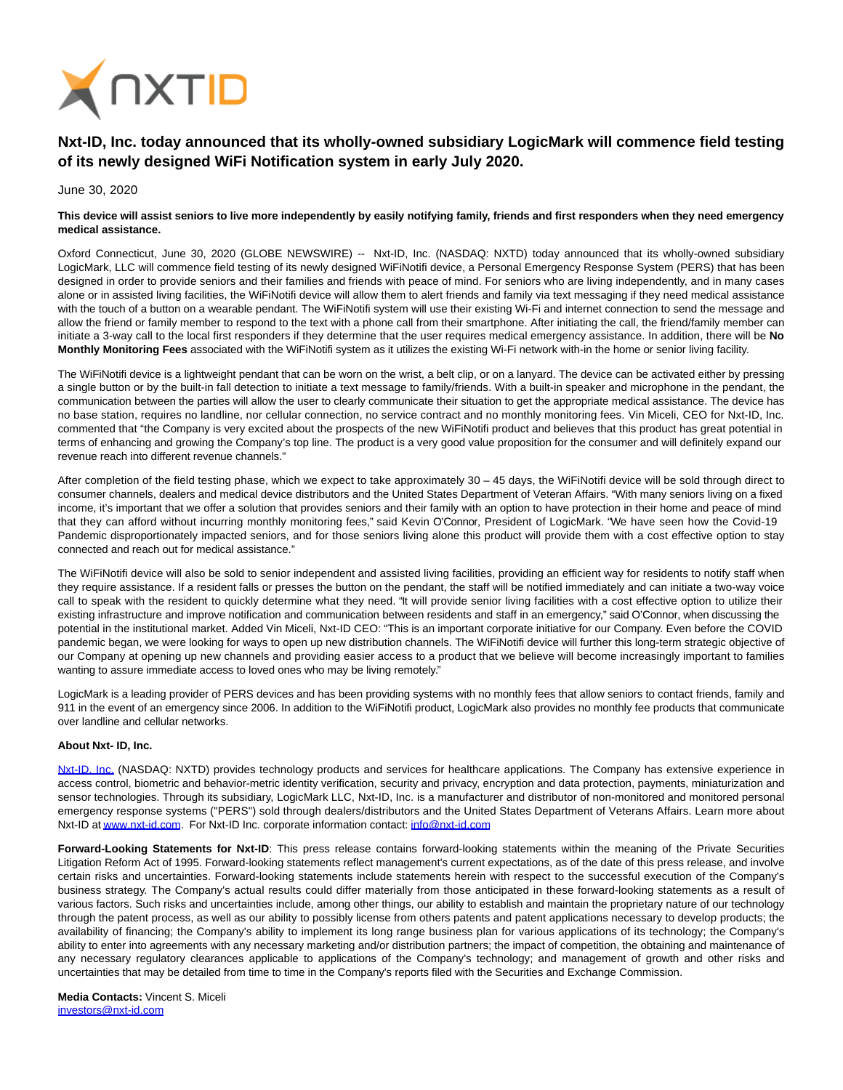

## **Nxt-ID, Inc. today announced that its wholly-owned subsidiary LogicMark will commence field testing of its newly designed WiFi Notification system in early July 2020.**

June 30, 2020

## **This device will assist seniors to live more independently by easily notifying family, friends and first responders when they need emergency medical assistance.**

Oxford Connecticut, June 30, 2020 (GLOBE NEWSWIRE) -- Nxt-ID, Inc. (NASDAQ: NXTD) today announced that its wholly-owned subsidiary LogicMark, LLC will commence field testing of its newly designed WiFiNotifi device, a Personal Emergency Response System (PERS) that has been designed in order to provide seniors and their families and friends with peace of mind. For seniors who are living independently, and in many cases alone or in assisted living facilities, the WiFiNotifi device will allow them to alert friends and family via text messaging if they need medical assistance with the touch of a button on a wearable pendant. The WiFiNotifi system will use their existing Wi-Fi and internet connection to send the message and allow the friend or family member to respond to the text with a phone call from their smartphone. After initiating the call, the friend/family member can initiate a 3-way call to the local first responders if they determine that the user requires medical emergency assistance. In addition, there will be **No Monthly Monitoring Fees** associated with the WiFiNotifi system as it utilizes the existing Wi-Fi network with-in the home or senior living facility.

The WiFiNotifi device is a lightweight pendant that can be worn on the wrist, a belt clip, or on a lanyard. The device can be activated either by pressing a single button or by the built-in fall detection to initiate a text message to family/friends. With a built-in speaker and microphone in the pendant, the communication between the parties will allow the user to clearly communicate their situation to get the appropriate medical assistance. The device has no base station, requires no landline, nor cellular connection, no service contract and no monthly monitoring fees. Vin Miceli, CEO for Nxt-ID, Inc. commented that "the Company is very excited about the prospects of the new WiFiNotifi product and believes that this product has great potential in terms of enhancing and growing the Company's top line. The product is a very good value proposition for the consumer and will definitely expand our revenue reach into different revenue channels."

After completion of the field testing phase, which we expect to take approximately 30 – 45 days, the WiFiNotifi device will be sold through direct to consumer channels, dealers and medical device distributors and the United States Department of Veteran Affairs. "With many seniors living on a fixed income, it's important that we offer a solution that provides seniors and their family with an option to have protection in their home and peace of mind that they can afford without incurring monthly monitoring fees," said Kevin O'Connor, President of LogicMark. "We have seen how the Covid-19 Pandemic disproportionately impacted seniors, and for those seniors living alone this product will provide them with a cost effective option to stay connected and reach out for medical assistance."

The WiFiNotifi device will also be sold to senior independent and assisted living facilities, providing an efficient way for residents to notify staff when they require assistance. If a resident falls or presses the button on the pendant, the staff will be notified immediately and can initiate a two-way voice call to speak with the resident to quickly determine what they need. "It will provide senior living facilities with a cost effective option to utilize their existing infrastructure and improve notification and communication between residents and staff in an emergency," said O'Connor, when discussing the potential in the institutional market. Added Vin Miceli, Nxt-ID CEO: "This is an important corporate initiative for our Company. Even before the COVID pandemic began, we were looking for ways to open up new distribution channels. The WiFiNotifi device will further this long-term strategic objective of our Company at opening up new channels and providing easier access to a product that we believe will become increasingly important to families wanting to assure immediate access to loved ones who may be living remotely."

LogicMark is a leading provider of PERS devices and has been providing systems with no monthly fees that allow seniors to contact friends, family and 911 in the event of an emergency since 2006. In addition to the WiFiNotifi product, LogicMark also provides no monthly fee products that communicate over landline and cellular networks.

## **About Nxt- ID, Inc.**

[Nxt-ID, Inc. \(](https://www.globenewswire.com/Tracker?data=PXnW5563DESgFLBHsjHi9-Qxoa73qt5i1AFdhy7r30imR_I80XzNCvwnft1x-Clw-WKrTa-ZJ8LgRH5Ice-fpw==)NASDAQ: NXTD) provides technology products and services for healthcare applications. The Company has extensive experience in access control, biometric and behavior-metric identity verification, security and privacy, encryption and data protection, payments, miniaturization and sensor technologies. Through its subsidiary, LogicMark LLC, Nxt-ID, Inc. is a manufacturer and distributor of non-monitored and monitored personal emergency response systems ("PERS") sold through dealers/distributors and the United States Department of Veterans Affairs. Learn more about Nxt-ID a[t www.nxt-id.com.](https://www.globenewswire.com/Tracker?data=jfVjw2we4nfRZQyKRl4p4vOMqSMXyLuiv0BElx0_CY_fgPpBLOYTR4R7ENkb2E0gQXVsC3aeW8qz9bEhAOtjdg==) For Nxt-ID Inc. corporate information contact: [info@nxt-id.com](https://www.globenewswire.com/Tracker?data=9nrtZAf5NDo4hC1qcMhJ5YlEVDcmFtsM3hTfXY-2b9V4OHzAdabULze93GZmH0-YrZUmEpFN7-MgdGC1788ZZg==)

**Forward-Looking Statements for Nxt-ID**: This press release contains forward-looking statements within the meaning of the Private Securities Litigation Reform Act of 1995. Forward-looking statements reflect management's current expectations, as of the date of this press release, and involve certain risks and uncertainties. Forward-looking statements include statements herein with respect to the successful execution of the Company's business strategy. The Company's actual results could differ materially from those anticipated in these forward-looking statements as a result of various factors. Such risks and uncertainties include, among other things, our ability to establish and maintain the proprietary nature of our technology through the patent process, as well as our ability to possibly license from others patents and patent applications necessary to develop products; the availability of financing; the Company's ability to implement its long range business plan for various applications of its technology; the Company's ability to enter into agreements with any necessary marketing and/or distribution partners; the impact of competition, the obtaining and maintenance of any necessary regulatory clearances applicable to applications of the Company's technology; and management of growth and other risks and uncertainties that may be detailed from time to time in the Company's reports filed with the Securities and Exchange Commission.

**Media Contacts:** Vincent S. Miceli [investors@nxt-id.com](https://www.globenewswire.com/Tracker?data=nDbh7zXneBZuzRY1V-5_OmOH_B7hCC3vTdflycr6Xn3D5LQK2ApYNW8D3K_DI2zc-qsQ_xc-AFCkOWfyF4zMWIzQ9G58SDibB_E9ENLEkoM=)